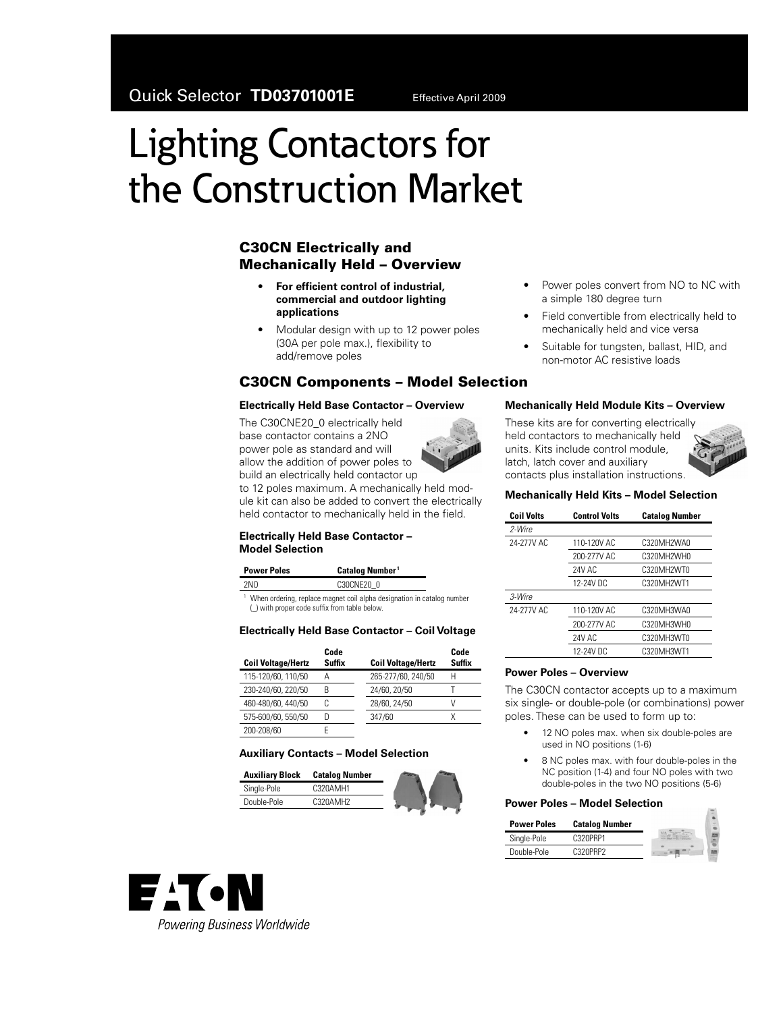# Lighting Contactors for the Construction Market

## **C30CN Electrically and Mechanically Held – Overview**

- For efficient control of industrial, **commercial and outdoor lighting applications**
- Modular design with up to 12 power poles (30A per pole max.), flexibility to add/remove poles

## **C30CN Components – Model Selection**

#### **Electrically Held Base Contactor – Overview**

The C30CNE20\_0 electrically held base contactor contains a 2NO power pole as standard and will allow the addition of power poles to build an electrically held contactor up to 12 poles maximum. A mechanically held module kit can also be added to convert the electrically held contactor to mechanically held in the field.



**Power Poles Catalog Number**<sup>1</sup> 2NO C30CNE20\_0

<sup>1</sup> When ordering, replace magnet coil alpha designation in catalog number (\_) with proper code suffix from table below.

## **Electrically Held Base Contactor – Coil Voltage**

| <b>Coil Voltage/Hertz</b> | Code<br>Suffix | <b>Coil Voltage/Hertz</b> | Code<br>Suffix |
|---------------------------|----------------|---------------------------|----------------|
| 115-120/60, 110/50        |                | 265-277/60, 240/50        | Н              |
| 230-240/60, 220/50        | R              | 24/60, 20/50              |                |
| 460-480/60, 440/50        |                | 28/60, 24/50              |                |
| 575-600/60, 550/50        |                | 347/60                    |                |
| 200-208/60                |                |                           |                |

#### **Auxiliary Contacts – Model Selection**

| <b>Auxiliary Block</b> | <b>Catalog Number</b> |  |
|------------------------|-----------------------|--|
| Single-Pole            | C320AMH1              |  |
| Double-Pole            | C320AMH2              |  |
|                        |                       |  |



- Power poles convert from NO to NC with a simple 180 degree turn
- Field convertible from electrically held to mechanically held and vice versa
- Suitable for tungsten, ballast, HID, and non-motor AC resistive loads

#### **Mechanically Held Module Kits – Overview**

These kits are for converting electrically held contactors to mechanically held units. Kits include control module, latch, latch cover and auxiliary contacts plus installation instructions.



| <b>Coil Volts</b> | <b>Control Volts</b> | <b>Catalog Number</b> |
|-------------------|----------------------|-----------------------|
| 2-Wire            |                      |                       |
| 24-277V AC        | 110-120V AC          | C320MH2WA0            |
|                   | 200-277V AC          | C320MH2WH0            |
|                   | 24V AC               | C320MH2WT0            |
|                   | 12-24V DC            | C320MH2WT1            |
| 3-Wire            |                      |                       |
| 24-277V AC        | 110-120V AC          | C320MH3WA0            |
|                   | 200-277V AC          | C320MH3WH0            |
|                   | 24V AC               | C320MH3WT0            |
|                   | 12-24V DC            | C320MH3WT1            |

### **Power Poles – Overview**

The C30CN contactor accepts up to a maximum six single- or double-pole (or combinations) power poles. These can be used to form up to:

- 12 NO poles max. when six double-poles are used in NO positions (1-6)
- 8 NC poles max. with four double-poles in the NC position (1-4) and four NO poles with two double-poles in the two NO positions (5-6)

#### **Power Poles – Model Selection**

| <b>Power Poles</b> | <b>Catalog Number</b> |  |
|--------------------|-----------------------|--|
| Single-Pole        | C320PRP1              |  |
| Double-Pole        | C320PRP2              |  |